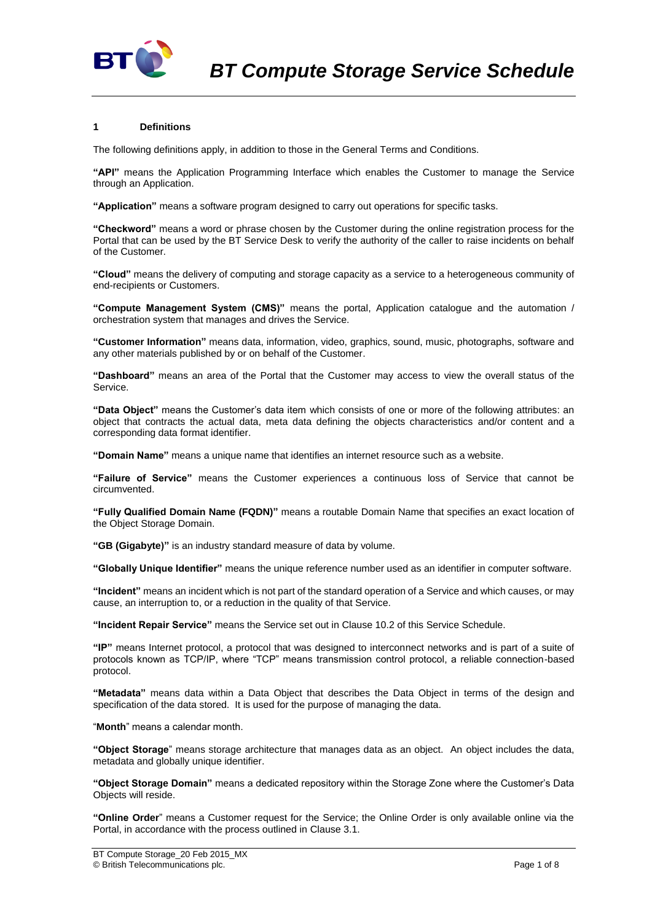

## **1 Definitions**

The following definitions apply, in addition to those in the General Terms and Conditions.

**"API"** means the Application Programming Interface which enables the Customer to manage the Service through an Application.

**"Application"** means a software program designed to carry out operations for specific tasks.

**"Checkword"** means a word or phrase chosen by the Customer during the online registration process for the Portal that can be used by the BT Service Desk to verify the authority of the caller to raise incidents on behalf of the Customer.

**"Cloud"** means the delivery of computing and storage capacity as a service to a heterogeneous community of end-recipients or Customers.

**"Compute Management System (CMS)"** means the portal, Application catalogue and the automation / orchestration system that manages and drives the Service.

**"Customer Information"** means data, information, video, graphics, sound, music, photographs, software and any other materials published by or on behalf of the Customer.

**"Dashboard"** means an area of the Portal that the Customer may access to view the overall status of the Service.

**"Data Object"** means the Customer's data item which consists of one or more of the following attributes: an object that contracts the actual data, meta data defining the objects characteristics and/or content and a corresponding data format identifier.

**"Domain Name"** means a unique name that identifies an internet resource such as a website.

**"Failure of Service"** means the Customer experiences a continuous loss of Service that cannot be circumvented.

**"Fully Qualified Domain Name (FQDN)"** means a routable Domain Name that specifies an exact location of the Object Storage Domain.

**"GB (Gigabyte)"** is an industry standard measure of data by volume.

**"Globally Unique Identifier"** means the unique reference number used as an identifier in computer software.

**"Incident"** means an incident which is not part of the standard operation of a Service and which causes, or may cause, an interruption to, or a reduction in the quality of that Service.

**"Incident Repair Service"** means the Service set out in Clause [10.2](#page-3-0) of this Service Schedule.

**"IP"** means Internet protocol, a protocol that was designed to interconnect networks and is part of a suite of protocols known as TCP/IP, where "TCP" means transmission control protocol, a reliable connection-based protocol.

**"Metadata"** means data within a Data Object that describes the Data Object in terms of the design and specification of the data stored. It is used for the purpose of managing the data.

"**Month**" means a calendar month.

**"Object Storage**" means storage architecture that manages data as an object. An object includes the data, metadata and globally unique identifier.

**"Object Storage Domain"** means a dedicated repository within the Storage Zone where the Customer's Data Objects will reside.

**"Online Order**" means a Customer request for the Service; the Online Order is only available online via the Portal, in accordance with the process outlined in Claus[e 3.1.](#page-1-0)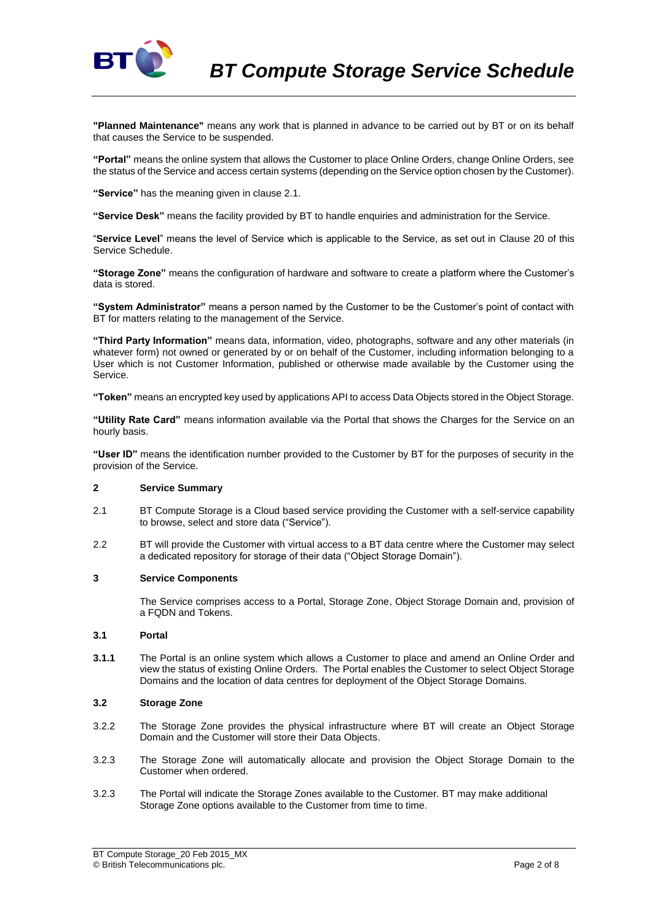

**"Planned Maintenance"** means any work that is planned in advance to be carried out by BT or on its behalf that causes the Service to be suspended.

**"Portal"** means the online system that allows the Customer to place Online Orders, change Online Orders, see the status of the Service and access certain systems (depending on the Service option chosen by the Customer).

**"Service"** has the meaning given in clause 2.1.

**"Service Desk"** means the facility provided by BT to handle enquiries and administration for the Service.

"**Service Level**" means the level of Service which is applicable to the Service, as set out in Clause 20 of this Service Schedule.

**"Storage Zone"** means the configuration of hardware and software to create a platform where the Customer's data is stored.

**"System Administrator"** means a person named by the Customer to be the Customer's point of contact with BT for matters relating to the management of the Service.

**"Third Party Information"** means data, information, video, photographs, software and any other materials (in whatever form) not owned or generated by or on behalf of the Customer, including information belonging to a User which is not Customer Information, published or otherwise made available by the Customer using the Service.

**"Token"** means an encrypted key used by applications API to access Data Objects stored in the Object Storage.

**"Utility Rate Card"** means information available via the Portal that shows the Charges for the Service on an hourly basis.

**"User ID"** means the identification number provided to the Customer by BT for the purposes of security in the provision of the Service.

## **2 Service Summary**

- 2.1 BT Compute Storage is a Cloud based service providing the Customer with a self-service capability to browse, select and store data ("Service").
- 2.2 BT will provide the Customer with virtual access to a BT data centre where the Customer may select a dedicated repository for storage of their data ("Object Storage Domain").

#### **3 Service Components**

The Service comprises access to a Portal, Storage Zone, Object Storage Domain and, provision of a FQDN and Tokens.

#### <span id="page-1-0"></span>**3.1 Portal**

**3.1.1** The Portal is an online system which allows a Customer to place and amend an Online Order and view the status of existing Online Orders. The Portal enables the Customer to select Object Storage Domains and the location of data centres for deployment of the Object Storage Domains.

#### **3.2 Storage Zone**

- 3.2.2 The Storage Zone provides the physical infrastructure where BT will create an Object Storage Domain and the Customer will store their Data Objects.
- 3.2.3 The Storage Zone will automatically allocate and provision the Object Storage Domain to the Customer when ordered.
- 3.2.3 The Portal will indicate the Storage Zones available to the Customer. BT may make additional Storage Zone options available to the Customer from time to time.

BT Compute Storage\_20 Feb 2015\_MX © British Telecommunications plc. Page 2 of 8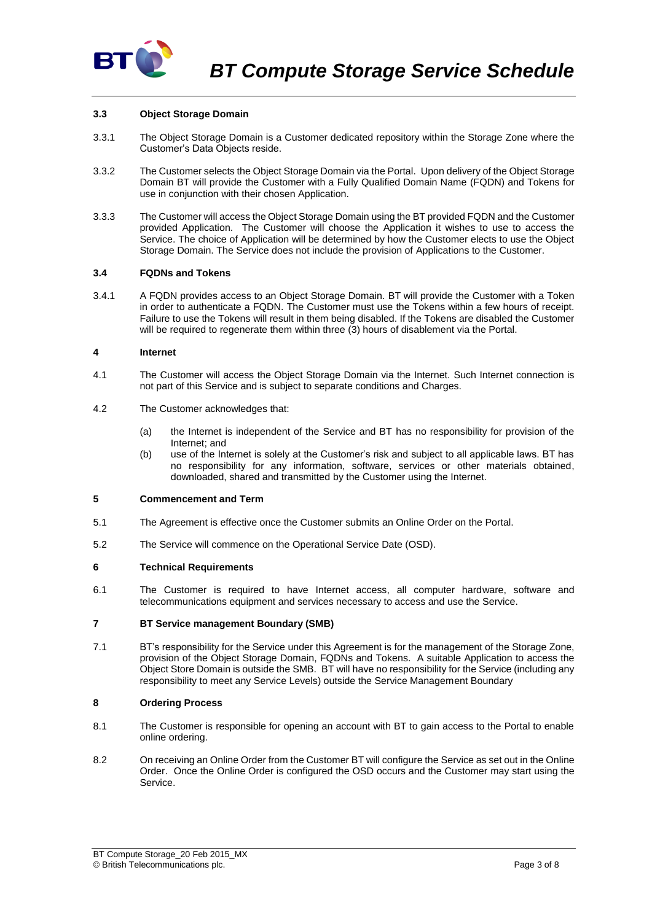

## **3.3 Object Storage Domain**

- 3.3.1 The Object Storage Domain is a Customer dedicated repository within the Storage Zone where the Customer's Data Objects reside.
- 3.3.2 The Customer selects the Object Storage Domain via the Portal. Upon delivery of the Object Storage Domain BT will provide the Customer with a Fully Qualified Domain Name (FQDN) and Tokens for use in conjunction with their chosen Application.
- 3.3.3 The Customer will access the Object Storage Domain using the BT provided FQDN and the Customer provided Application. The Customer will choose the Application it wishes to use to access the Service. The choice of Application will be determined by how the Customer elects to use the Object Storage Domain. The Service does not include the provision of Applications to the Customer.

#### **3.4 FQDNs and Tokens**

3.4.1 A FQDN provides access to an Object Storage Domain. BT will provide the Customer with a Token in order to authenticate a FQDN. The Customer must use the Tokens within a few hours of receipt. Failure to use the Tokens will result in them being disabled. If the Tokens are disabled the Customer will be required to regenerate them within three (3) hours of disablement via the Portal.

#### **4 Internet**

- 4.1 The Customer will access the Object Storage Domain via the Internet. Such Internet connection is not part of this Service and is subject to separate conditions and Charges.
- 4.2 The Customer acknowledges that:
	- (a) the Internet is independent of the Service and BT has no responsibility for provision of the Internet; and
	- (b) use of the Internet is solely at the Customer's risk and subject to all applicable laws. BT has no responsibility for any information, software, services or other materials obtained, downloaded, shared and transmitted by the Customer using the Internet.

## **5 Commencement and Term**

- 5.1 The Agreement is effective once the Customer submits an Online Order on the Portal.
- 5.2 The Service will commence on the Operational Service Date (OSD).

# **6 Technical Requirements**

6.1 The Customer is required to have Internet access, all computer hardware, software and telecommunications equipment and services necessary to access and use the Service.

#### **7 BT Service management Boundary (SMB)**

7.1 BT's responsibility for the Service under this Agreement is for the management of the Storage Zone, provision of the Object Storage Domain, FQDNs and Tokens. A suitable Application to access the Object Store Domain is outside the SMB. BT will have no responsibility for the Service (including any responsibility to meet any Service Levels) outside the Service Management Boundary

# **8 Ordering Process**

- 8.1 The Customer is responsible for opening an account with BT to gain access to the Portal to enable online ordering.
- 8.2 On receiving an Online Order from the Customer BT will configure the Service as set out in the Online Order. Once the Online Order is configured the OSD occurs and the Customer may start using the Service.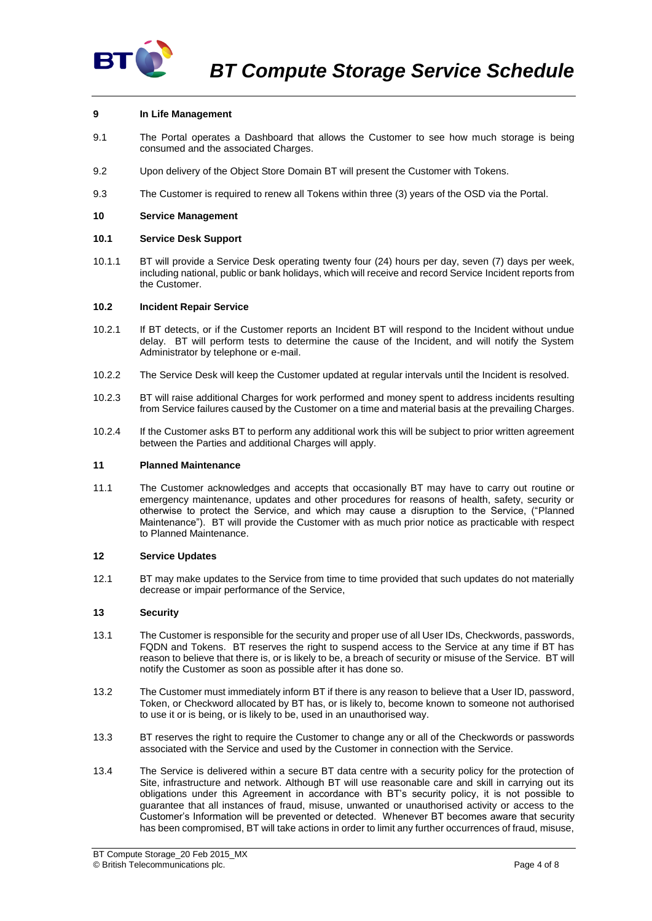

## **9 In Life Management**

- 9.1 The Portal operates a Dashboard that allows the Customer to see how much storage is being consumed and the associated Charges.
- 9.2 Upon delivery of the Object Store Domain BT will present the Customer with Tokens.
- 9.3 The Customer is required to renew all Tokens within three (3) years of the OSD via the Portal.

#### **10 Service Management**

#### **10.1 Service Desk Support**

10.1.1 BT will provide a Service Desk operating twenty four (24) hours per day, seven (7) days per week, including national, public or bank holidays, which will receive and record Service Incident reports from the Customer.

#### <span id="page-3-0"></span>**10.2 Incident Repair Service**

- 10.2.1 If BT detects, or if the Customer reports an Incident BT will respond to the Incident without undue delay. BT will perform tests to determine the cause of the Incident, and will notify the System Administrator by telephone or e-mail.
- 10.2.2 The Service Desk will keep the Customer updated at regular intervals until the Incident is resolved.
- 10.2.3 BT will raise additional Charges for work performed and money spent to address incidents resulting from Service failures caused by the Customer on a time and material basis at the prevailing Charges.
- 10.2.4 If the Customer asks BT to perform any additional work this will be subject to prior written agreement between the Parties and additional Charges will apply.

#### **11 Planned Maintenance**

11.1 The Customer acknowledges and accepts that occasionally BT may have to carry out routine or emergency maintenance, updates and other procedures for reasons of health, safety, security or otherwise to protect the Service, and which may cause a disruption to the Service, ("Planned Maintenance"). BT will provide the Customer with as much prior notice as practicable with respect to Planned Maintenance.

#### **12 Service Updates**

12.1 BT may make updates to the Service from time to time provided that such updates do not materially decrease or impair performance of the Service,

#### **13 Security**

- 13.1 The Customer is responsible for the security and proper use of all User IDs, Checkwords, passwords, FQDN and Tokens. BT reserves the right to suspend access to the Service at any time if BT has reason to believe that there is, or is likely to be, a breach of security or misuse of the Service. BT will notify the Customer as soon as possible after it has done so.
- 13.2 The Customer must immediately inform BT if there is any reason to believe that a User ID, password, Token, or Checkword allocated by BT has, or is likely to, become known to someone not authorised to use it or is being, or is likely to be, used in an unauthorised way.
- 13.3 BT reserves the right to require the Customer to change any or all of the Checkwords or passwords associated with the Service and used by the Customer in connection with the Service.
- 13.4 The Service is delivered within a secure BT data centre with a security policy for the protection of Site, infrastructure and network. Although BT will use reasonable care and skill in carrying out its obligations under this Agreement in accordance with BT's security policy, it is not possible to guarantee that all instances of fraud, misuse, unwanted or unauthorised activity or access to the Customer's Information will be prevented or detected. Whenever BT becomes aware that security has been compromised, BT will take actions in order to limit any further occurrences of fraud, misuse,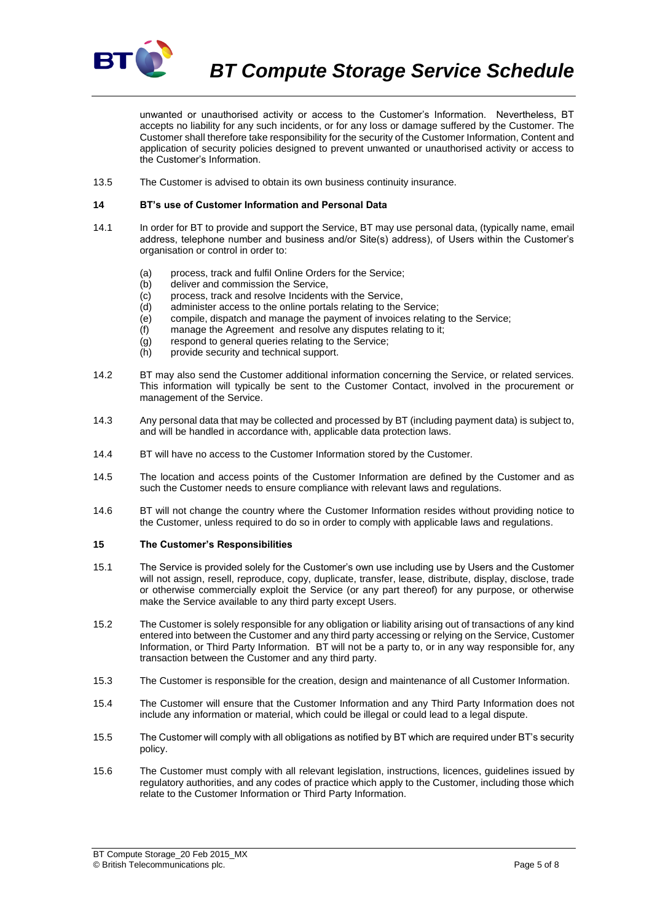

*BT Compute Storage Service Schedule*

unwanted or unauthorised activity or access to the Customer's Information. Nevertheless, BT accepts no liability for any such incidents, or for any loss or damage suffered by the Customer. The Customer shall therefore take responsibility for the security of the Customer Information, Content and application of security policies designed to prevent unwanted or unauthorised activity or access to the Customer's Information.

13.5 The Customer is advised to obtain its own business continuity insurance.

### **14 BT's use of Customer Information and Personal Data**

- 14.1 In order for BT to provide and support the Service, BT may use personal data, (typically name, email address, telephone number and business and/or Site(s) address), of Users within the Customer's organisation or control in order to:
	- (a) process, track and fulfil Online Orders for the Service;
	- (b) deliver and commission the Service,
	- (c) process, track and resolve Incidents with the Service,
	- (d) administer access to the online portals relating to the Service;
	- (e) compile, dispatch and manage the payment of invoices relating to the Service;
	- (f) manage the Agreement and resolve any disputes relating to it;
	- (g) respond to general queries relating to the Service;
	- (h) provide security and technical support.
- 14.2 BT may also send the Customer additional information concerning the Service, or related services. This information will typically be sent to the Customer Contact, involved in the procurement or management of the Service.
- 14.3 Any personal data that may be collected and processed by BT (including payment data) is subject to, and will be handled in accordance with, applicable data protection laws.
- 14.4 BT will have no access to the Customer Information stored by the Customer.
- 14.5 The location and access points of the Customer Information are defined by the Customer and as such the Customer needs to ensure compliance with relevant laws and regulations.
- 14.6 BT will not change the country where the Customer Information resides without providing notice to the Customer, unless required to do so in order to comply with applicable laws and regulations.

### <span id="page-4-0"></span>**15 The Customer's Responsibilities**

- 15.1 The Service is provided solely for the Customer's own use including use by Users and the Customer will not assign, resell, reproduce, copy, duplicate, transfer, lease, distribute, display, disclose, trade or otherwise commercially exploit the Service (or any part thereof) for any purpose, or otherwise make the Service available to any third party except Users.
- 15.2 The Customer is solely responsible for any obligation or liability arising out of transactions of any kind entered into between the Customer and any third party accessing or relying on the Service, Customer Information, or Third Party Information. BT will not be a party to, or in any way responsible for, any transaction between the Customer and any third party.
- 15.3 The Customer is responsible for the creation, design and maintenance of all Customer Information.
- 15.4 The Customer will ensure that the Customer Information and any Third Party Information does not include any information or material, which could be illegal or could lead to a legal dispute.
- 15.5 The Customer will comply with all obligations as notified by BT which are required under BT's security policy.
- 15.6 The Customer must comply with all relevant legislation, instructions, licences, guidelines issued by regulatory authorities, and any codes of practice which apply to the Customer, including those which relate to the Customer Information or Third Party Information.

BT Compute Storage\_20 Feb 2015\_MX © British Telecommunications plc. Page 5 of 8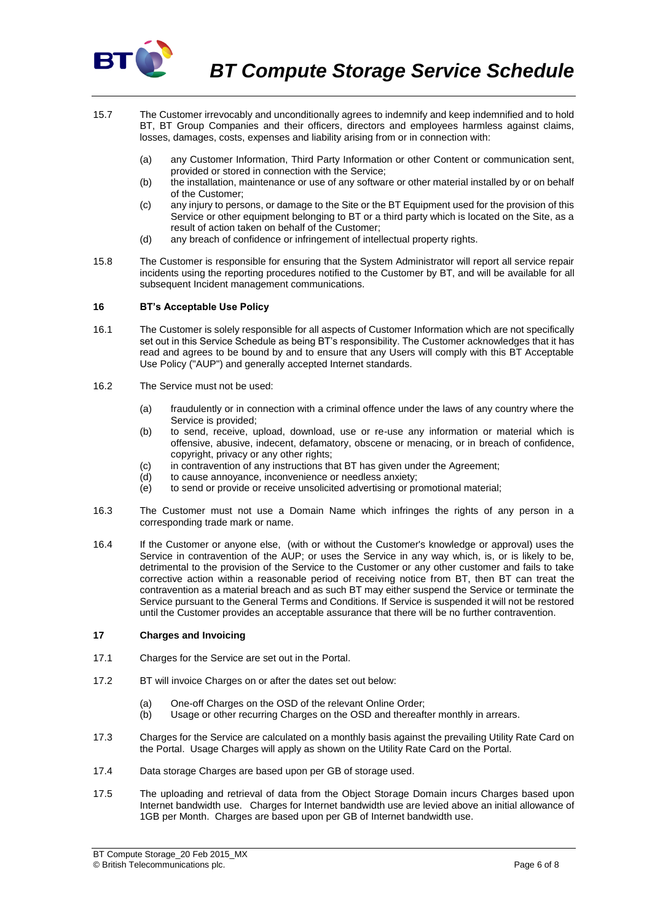

- 15.7 The Customer irrevocably and unconditionally agrees to indemnify and keep indemnified and to hold BT, BT Group Companies and their officers, directors and employees harmless against claims, losses, damages, costs, expenses and liability arising from or in connection with:
	- (a) any Customer Information, Third Party Information or other Content or communication sent, provided or stored in connection with the Service;
	- (b) the installation, maintenance or use of any software or other material installed by or on behalf of the Customer;
	- (c) any injury to persons, or damage to the Site or the BT Equipment used for the provision of this Service or other equipment belonging to BT or a third party which is located on the Site, as a result of action taken on behalf of the Customer;
	- (d) any breach of confidence or infringement of intellectual property rights.
- 15.8 The Customer is responsible for ensuring that the System Administrator will report all service repair incidents using the reporting procedures notified to the Customer by BT, and will be available for all subsequent Incident management communications.

## **16 BT's Acceptable Use Policy**

- 16.1 The Customer is solely responsible for all aspects of Customer Information which are not specifically set out in this Service Schedule as being BT's responsibility. The Customer acknowledges that it has read and agrees to be bound by and to ensure that any Users will comply with this BT Acceptable Use Policy ("AUP") and generally accepted Internet standards.
- 16.2 The Service must not be used:
	- (a) fraudulently or in connection with a criminal offence under the laws of any country where the Service is provided;
	- (b) to send, receive, upload, download, use or re-use any information or material which is offensive, abusive, indecent, defamatory, obscene or menacing, or in breach of confidence, copyright, privacy or any other rights;
	- (c) in contravention of any instructions that BT has given under the Agreement;
	- (d) to cause annoyance, inconvenience or needless anxiety;
	- $\overrightarrow{e}$  to send or provide or receive unsolicited advertising or promotional material;
- 16.3 The Customer must not use a Domain Name which infringes the rights of any person in a corresponding trade mark or name.
- 16.4 If the Customer or anyone else, (with or without the Customer's knowledge or approval) uses the Service in contravention of the AUP; or uses the Service in any way which, is, or is likely to be, detrimental to the provision of the Service to the Customer or any other customer and fails to take corrective action within a reasonable period of receiving notice from BT, then BT can treat the contravention as a material breach and as such BT may either suspend the Service or terminate the Service pursuant to the General Terms and Conditions. If Service is suspended it will not be restored until the Customer provides an acceptable assurance that there will be no further contravention.

#### **17 Charges and Invoicing**

- 17.1 Charges for the Service are set out in the Portal.
- 17.2 BT will invoice Charges on or after the dates set out below:
	- (a) One-off Charges on the OSD of the relevant Online Order:
	- (b) Usage or other recurring Charges on the OSD and thereafter monthly in arrears.
- 17.3 Charges for the Service are calculated on a monthly basis against the prevailing Utility Rate Card on the Portal. Usage Charges will apply as shown on the Utility Rate Card on the Portal.
- 17.4 Data storage Charges are based upon per GB of storage used.
- 17.5 The uploading and retrieval of data from the Object Storage Domain incurs Charges based upon Internet bandwidth use. Charges for Internet bandwidth use are levied above an initial allowance of 1GB per Month. Charges are based upon per GB of Internet bandwidth use.

BT Compute Storage\_20 Feb 2015\_MX © British Telecommunications plc. Page 6 of 8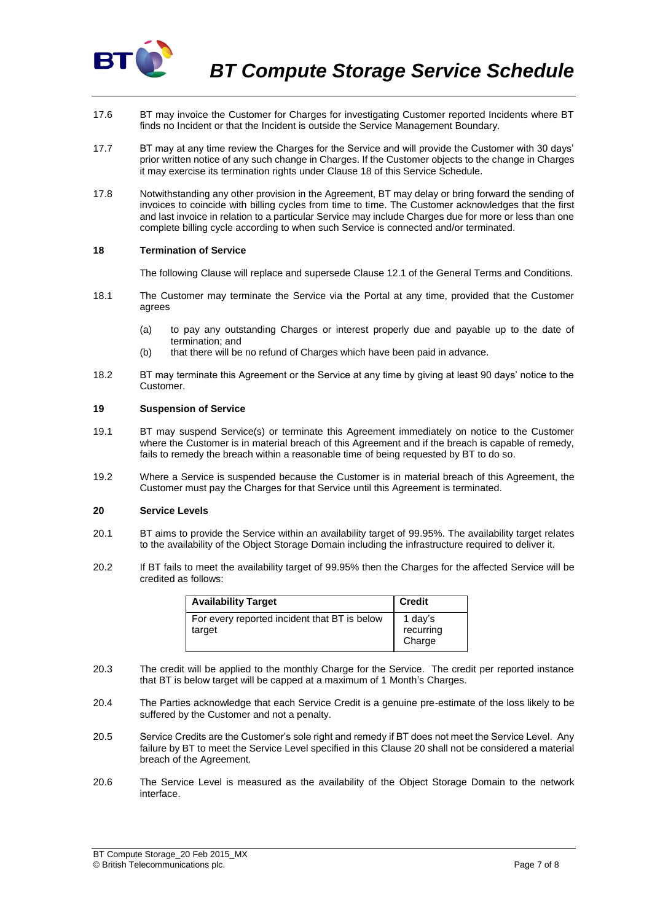

- 17.6 BT may invoice the Customer for Charges for investigating Customer reported Incidents where BT finds no Incident or that the Incident is outside the Service Management Boundary.
- 17.7 BT may at any time review the Charges for the Service and will provide the Customer with 30 days' prior written notice of any such change in Charges. If the Customer objects to the change in Charges it may exercise its termination rights under Clause 18 of this Service Schedule.
- 17.8 Notwithstanding any other provision in the Agreement, BT may delay or bring forward the sending of invoices to coincide with billing cycles from time to time. The Customer acknowledges that the first and last invoice in relation to a particular Service may include Charges due for more or less than one complete billing cycle according to when such Service is connected and/or terminated.

#### **18 Termination of Service**

The following Clause will replace and supersede Clause 12.1 of the General Terms and Conditions.

- 18.1 The Customer may terminate the Service via the Portal at any time, provided that the Customer agrees
	- (a) to pay any outstanding Charges or interest properly due and payable up to the date of termination; and
	- (b) that there will be no refund of Charges which have been paid in advance.
- 18.2 BT may terminate this Agreement or the Service at any time by giving at least 90 days' notice to the Customer.

#### **19 Suspension of Service**

- 19.1 BT may suspend Service(s) or terminate this Agreement immediately on notice to the Customer where the Customer is in material breach of this Agreement and if the breach is capable of remedy, fails to remedy the breach within a reasonable time of being requested by BT to do so.
- 19.2 Where a Service is suspended because the Customer is in material breach of this Agreement, the Customer must pay the Charges for that Service until this Agreement is terminated.

## <span id="page-6-0"></span>**20 Service Levels**

- 20.1 BT aims to provide the Service within an availability target of 99.95%. The availability target relates to the availability of the Object Storage Domain including the infrastructure required to deliver it.
- 20.2 If BT fails to meet the availability target of 99.95% then the Charges for the affected Service will be credited as follows:

| <b>Availability Target</b>                             | <b>Credit</b>                  |
|--------------------------------------------------------|--------------------------------|
| For every reported incident that BT is below<br>target | 1 day's<br>recurring<br>Charge |

- 20.3 The credit will be applied to the monthly Charge for the Service. The credit per reported instance that BT is below target will be capped at a maximum of 1 Month's Charges.
- 20.4 The Parties acknowledge that each Service Credit is a genuine pre-estimate of the loss likely to be suffered by the Customer and not a penalty.
- 20.5 Service Credits are the Customer's sole right and remedy if BT does not meet the Service Level. Any failure by BT to meet the Service Level specified in this Clause [20](#page-6-0) shall not be considered a material breach of the Agreement.
- 20.6 The Service Level is measured as the availability of the Object Storage Domain to the network interface.

BT Compute Storage\_20 Feb 2015\_MX © British Telecommunications plc. Page 7 of 8